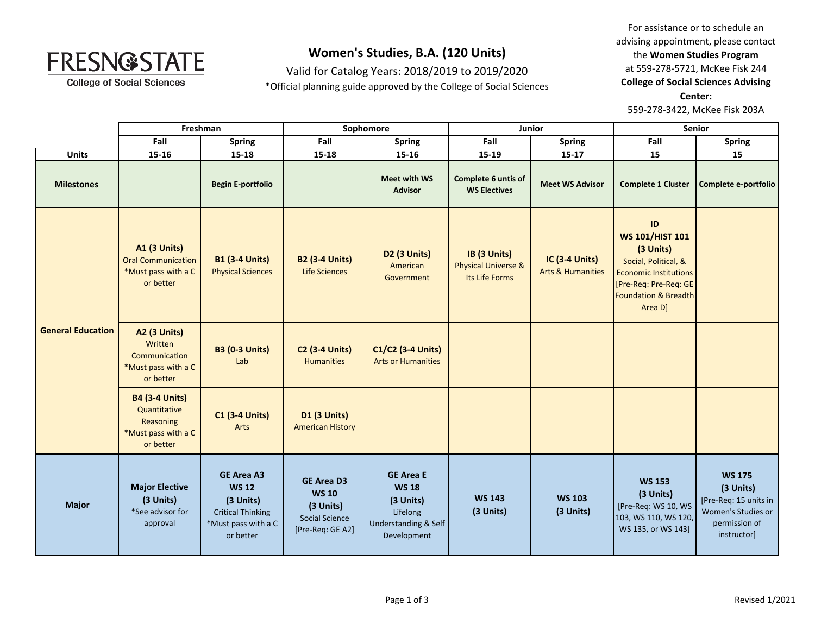

**College of Social Sciences** 

## **Women's Studies, B.A. (120 Units)**

Valid for Catalog Years: 2018/2019 to 2019/2020 \*Official planning guide approved by the College of Social Sciences

For assistance or to schedule an advising appointment, please contact the **Women Studies Program** at 559-278-5721, McKee Fisk 244 **College of Social Sciences Advising Center:**  559-278-3422, McKee Fisk 203A

|                          | Freshman                                                                               |                                                                                                                | Sophomore                                                                            |                                                                                                  | Junior                                                |                                                       | <b>Senior</b>                                                                                                                                                            |                                                                                                           |
|--------------------------|----------------------------------------------------------------------------------------|----------------------------------------------------------------------------------------------------------------|--------------------------------------------------------------------------------------|--------------------------------------------------------------------------------------------------|-------------------------------------------------------|-------------------------------------------------------|--------------------------------------------------------------------------------------------------------------------------------------------------------------------------|-----------------------------------------------------------------------------------------------------------|
|                          | Fall                                                                                   | <b>Spring</b>                                                                                                  | Fall                                                                                 | <b>Spring</b>                                                                                    | Fall                                                  | <b>Spring</b>                                         | Fall                                                                                                                                                                     | <b>Spring</b>                                                                                             |
| <b>Units</b>             | 15-16                                                                                  | 15-18                                                                                                          | 15-18                                                                                | 15-16                                                                                            | 15-19                                                 | $15-17$                                               | 15                                                                                                                                                                       | 15                                                                                                        |
| <b>Milestones</b>        |                                                                                        | <b>Begin E-portfolio</b>                                                                                       |                                                                                      | Meet with WS<br><b>Advisor</b>                                                                   | Complete 6 untis of<br><b>WS Electives</b>            | <b>Meet WS Advisor</b>                                | <b>Complete 1 Cluster</b>                                                                                                                                                | Complete e-portfolio                                                                                      |
| <b>General Education</b> | <b>A1 (3 Units)</b><br><b>Oral Communication</b><br>*Must pass with a C<br>or better   | <b>B1 (3-4 Units)</b><br><b>Physical Sciences</b>                                                              | <b>B2 (3-4 Units)</b><br><b>Life Sciences</b>                                        | <b>D2 (3 Units)</b><br>American<br>Government                                                    | IB (3 Units)<br>Physical Universe &<br>Its Life Forms | <b>IC (3-4 Units)</b><br><b>Arts &amp; Humanities</b> | ID<br><b>WS 101/HIST 101</b><br>(3 Units)<br>Social, Political, &<br><b>Economic Institutions</b><br>[Pre-Req: Pre-Req: GE<br><b>Foundation &amp; Breadth</b><br>Area D] |                                                                                                           |
|                          | <b>A2 (3 Units)</b><br>Written<br>Communication<br>*Must pass with a C<br>or better    | <b>B3 (0-3 Units)</b><br>Lab                                                                                   | <b>C2 (3-4 Units)</b><br><b>Humanities</b>                                           | C1/C2 (3-4 Units)<br><b>Arts or Humanities</b>                                                   |                                                       |                                                       |                                                                                                                                                                          |                                                                                                           |
|                          | <b>B4 (3-4 Units)</b><br>Quantitative<br>Reasoning<br>*Must pass with a C<br>or better | <b>C1 (3-4 Units)</b><br>Arts                                                                                  | <b>D1 (3 Units)</b><br><b>American History</b>                                       |                                                                                                  |                                                       |                                                       |                                                                                                                                                                          |                                                                                                           |
| <b>Major</b>             | <b>Major Elective</b><br>(3 Units)<br>*See advisor for<br>approval                     | <b>GE Area A3</b><br><b>WS 12</b><br>(3 Units)<br><b>Critical Thinking</b><br>*Must pass with a C<br>or better | <b>GE Area D3</b><br><b>WS 10</b><br>(3 Units)<br>Social Science<br>[Pre-Req: GE A2] | <b>GE Area E</b><br><b>WS 18</b><br>(3 Units)<br>Lifelong<br>Understanding & Self<br>Development | <b>WS 143</b><br>(3 Units)                            | <b>WS 103</b><br>(3 Units)                            | <b>WS 153</b><br>(3 Units)<br>[Pre-Req: WS 10, WS<br>103, WS 110, WS 120,<br>WS 135, or WS 143]                                                                          | <b>WS 175</b><br>(3 Units)<br>[Pre-Req: 15 units in<br>Women's Studies or<br>permission of<br>instructor] |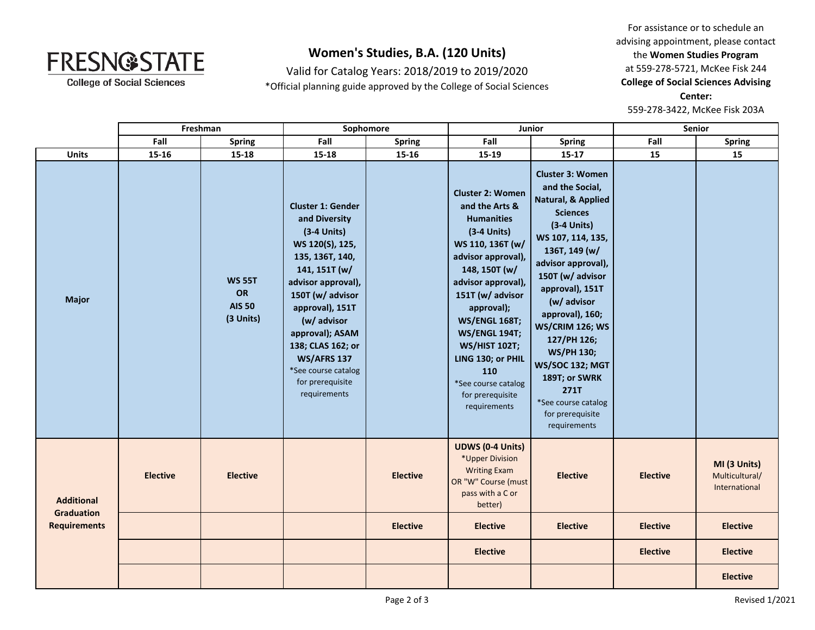

**College of Social Sciences** 

## **Women's Studies, B.A. (120 Units)**

Valid for Catalog Years: 2018/2019 to 2019/2020 \*Official planning guide approved by the College of Social Sciences

For assistance or to schedule an advising appointment, please contact the **Women Studies Program** at 559-278-5721, McKee Fisk 244 **College of Social Sciences Advising Center:**  559-278-3422, McKee Fisk 203A

|                                                               | Freshman        |                                                   | Sophomore                                                                                                                                                                                                                                                                                                              |                 | Junior                                                                                                                                                                                                                                                                                                                                                            |                                                                                                                                                                                                                                                                                                                                                                                                                              | <b>Senior</b>   |                                                 |
|---------------------------------------------------------------|-----------------|---------------------------------------------------|------------------------------------------------------------------------------------------------------------------------------------------------------------------------------------------------------------------------------------------------------------------------------------------------------------------------|-----------------|-------------------------------------------------------------------------------------------------------------------------------------------------------------------------------------------------------------------------------------------------------------------------------------------------------------------------------------------------------------------|------------------------------------------------------------------------------------------------------------------------------------------------------------------------------------------------------------------------------------------------------------------------------------------------------------------------------------------------------------------------------------------------------------------------------|-----------------|-------------------------------------------------|
|                                                               | Fall            | <b>Spring</b>                                     | Fall                                                                                                                                                                                                                                                                                                                   | <b>Spring</b>   | Fall                                                                                                                                                                                                                                                                                                                                                              | <b>Spring</b>                                                                                                                                                                                                                                                                                                                                                                                                                | Fall            | <b>Spring</b>                                   |
| <b>Units</b>                                                  | $15 - 16$       | 15-18                                             | 15-18                                                                                                                                                                                                                                                                                                                  | $15 - 16$       | 15-19                                                                                                                                                                                                                                                                                                                                                             | $15 - 17$                                                                                                                                                                                                                                                                                                                                                                                                                    | 15              | 15                                              |
| <b>Major</b>                                                  |                 | <b>WS 55T</b><br>OR<br><b>AIS 50</b><br>(3 Units) | <b>Cluster 1: Gender</b><br>and Diversity<br>$(3-4$ Units)<br>WS 120(S), 125,<br>135, 136T, 140,<br>141, 151T (w/<br>advisor approval),<br>150T (w/ advisor<br>approval), 151T<br>(w/ advisor<br>approval); ASAM<br>138; CLAS 162; or<br><b>WS/AFRS 137</b><br>*See course catalog<br>for prerequisite<br>requirements |                 | <b>Cluster 2: Women</b><br>and the Arts &<br><b>Humanities</b><br>$(3-4$ Units)<br>WS 110, 136T (w/<br>advisor approval),<br>148, 150T (w/<br>advisor approval),<br>151T (w/ advisor<br>approval);<br><b>WS/ENGL 168T;</b><br><b>WS/ENGL 194T;</b><br><b>WS/HIST 102T;</b><br>LING 130; or PHIL<br>110<br>*See course catalog<br>for prerequisite<br>requirements | <b>Cluster 3: Women</b><br>and the Social,<br>Natural, & Applied<br><b>Sciences</b><br>$(3-4$ Units)<br>WS 107, 114, 135,<br>136T, 149 (w/<br>advisor approval),<br>150T (w/ advisor<br>approval), 151T<br>(w/ advisor<br>approval), 160;<br><b>WS/CRIM 126; WS</b><br>127/PH 126;<br><b>WS/PH 130;</b><br><b>WS/SOC 132; MGT</b><br>189T; or SWRK<br><b>271T</b><br>*See course catalog<br>for prerequisite<br>requirements |                 |                                                 |
| <b>Additional</b><br><b>Graduation</b><br><b>Requirements</b> | <b>Elective</b> | <b>Elective</b>                                   |                                                                                                                                                                                                                                                                                                                        | <b>Elective</b> | <b>UDWS (0-4 Units)</b><br>*Upper Division<br><b>Writing Exam</b><br>OR "W" Course (must<br>pass with a C or<br>better)                                                                                                                                                                                                                                           | <b>Elective</b>                                                                                                                                                                                                                                                                                                                                                                                                              | <b>Elective</b> | MI (3 Units)<br>Multicultural/<br>International |
|                                                               |                 |                                                   |                                                                                                                                                                                                                                                                                                                        | <b>Elective</b> | <b>Elective</b>                                                                                                                                                                                                                                                                                                                                                   | <b>Elective</b>                                                                                                                                                                                                                                                                                                                                                                                                              | <b>Elective</b> | <b>Elective</b>                                 |
|                                                               |                 |                                                   |                                                                                                                                                                                                                                                                                                                        |                 | <b>Elective</b>                                                                                                                                                                                                                                                                                                                                                   |                                                                                                                                                                                                                                                                                                                                                                                                                              | <b>Elective</b> | <b>Elective</b>                                 |
|                                                               |                 |                                                   |                                                                                                                                                                                                                                                                                                                        |                 |                                                                                                                                                                                                                                                                                                                                                                   |                                                                                                                                                                                                                                                                                                                                                                                                                              |                 | <b>Elective</b>                                 |